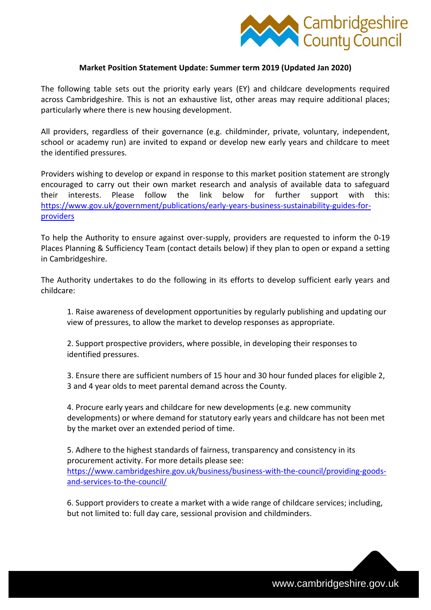

## **Market Position Statement Update: Summer term 2019 (Updated Jan 2020)**

The following table sets out the priority early years (EY) and childcare developments required across Cambridgeshire. This is not an exhaustive list, other areas may require additional places; particularly where there is new housing development.

All providers, regardless of their governance (e.g. childminder, private, voluntary, independent, school or academy run) are invited to expand or develop new early years and childcare to meet the identified pressures.

Providers wishing to develop or expand in response to this market position statement are strongly encouraged to carry out their own market research and analysis of available data to safeguard their interests. Please follow the link below for further support with this: [https://www.gov.uk/government/publications/early-years-business-sustainability-guides-for](https://www.gov.uk/government/publications/early-years-business-sustainability-guides-for-providers)[providers](https://www.gov.uk/government/publications/early-years-business-sustainability-guides-for-providers)

To help the Authority to ensure against over-supply, providers are requested to inform the 0-19 Places Planning & Sufficiency Team (contact details below) if they plan to open or expand a setting in Cambridgeshire.

The Authority undertakes to do the following in its efforts to develop sufficient early years and childcare:

1. Raise awareness of development opportunities by regularly publishing and updating our view of pressures, to allow the market to develop responses as appropriate.

2. Support prospective providers, where possible, in developing their responses to identified pressures.

3. Ensure there are sufficient numbers of 15 hour and 30 hour funded places for eligible 2, 3 and 4 year olds to meet parental demand across the County.

4. Procure early years and childcare for new developments (e.g. new community developments) or where demand for statutory early years and childcare has not been met by the market over an extended period of time.

5. Adhere to the highest standards of fairness, transparency and consistency in its procurement activity. For more details please see: [https://www.cambridgeshire.gov.uk/business/business-with-the-council/providing-goods](https://www.cambridgeshire.gov.uk/business/business-with-the-council/providing-goods-and-services-to-the-council/)[and-services-to-the-council/](https://www.cambridgeshire.gov.uk/business/business-with-the-council/providing-goods-and-services-to-the-council/)

6. Support providers to create a market with a wide range of childcare services; including, but not limited to: full day care, sessional provision and childminders.

www.cambridgeshire.gov.uk